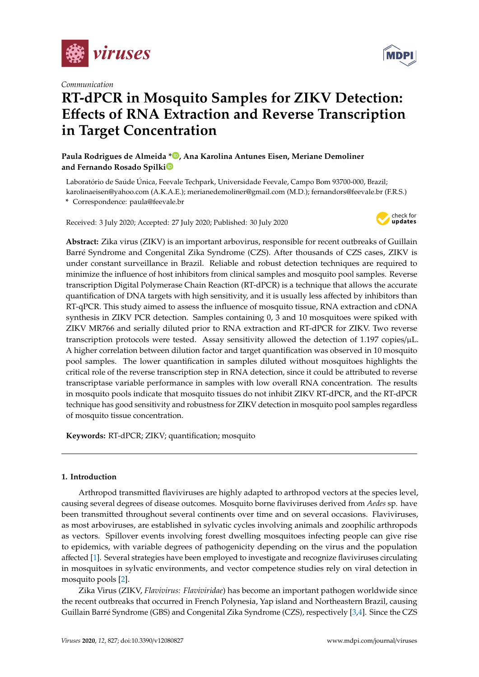

*Communication*

# **MDP**

## **RT-dPCR in Mosquito Samples for ZIKV Detection: E**ff**ects of RNA Extraction and Reverse Transcription in Target Concentration**

**Paula Rodrigues de Almeida \* [,](https://orcid.org/0000-0002-4108-8796) Ana Karolina Antunes Eisen, Meriane Demoliner and Fernando Rosado Spilk[i](https://orcid.org/0000-0001-5804-7045)**

Laboratório de Saúde Única, Feevale Techpark, Universidade Feevale, Campo Bom 93700-000, Brazil; karolinaeisen@yahoo.com (A.K.A.E.); merianedemoliner@gmail.com (M.D.); fernandors@feevale.br (F.R.S.)

**\*** Correspondence: paula@feevale.br

Received: 3 July 2020; Accepted: 27 July 2020; Published: 30 July 2020



**Abstract:** Zika virus (ZIKV) is an important arbovirus, responsible for recent outbreaks of Guillain Barré Syndrome and Congenital Zika Syndrome (CZS). After thousands of CZS cases, ZIKV is under constant surveillance in Brazil. Reliable and robust detection techniques are required to minimize the influence of host inhibitors from clinical samples and mosquito pool samples. Reverse transcription Digital Polymerase Chain Reaction (RT-dPCR) is a technique that allows the accurate quantification of DNA targets with high sensitivity, and it is usually less affected by inhibitors than RT-qPCR. This study aimed to assess the influence of mosquito tissue, RNA extraction and cDNA synthesis in ZIKV PCR detection. Samples containing 0, 3 and 10 mosquitoes were spiked with ZIKV MR766 and serially diluted prior to RNA extraction and RT-dPCR for ZIKV. Two reverse transcription protocols were tested. Assay sensitivity allowed the detection of 1.197 copies/µL. A higher correlation between dilution factor and target quantification was observed in 10 mosquito pool samples. The lower quantification in samples diluted without mosquitoes highlights the critical role of the reverse transcription step in RNA detection, since it could be attributed to reverse transcriptase variable performance in samples with low overall RNA concentration. The results in mosquito pools indicate that mosquito tissues do not inhibit ZIKV RT-dPCR, and the RT-dPCR technique has good sensitivity and robustness for ZIKV detection in mosquito pool samples regardless of mosquito tissue concentration.

**Keywords:** RT-dPCR; ZIKV; quantification; mosquito

### **1. Introduction**

Arthropod transmitted flaviviruses are highly adapted to arthropod vectors at the species level, causing several degrees of disease outcomes. Mosquito borne flaviviruses derived from *Aedes* sp. have been transmitted throughout several continents over time and on several occasions. Flaviviruses, as most arboviruses, are established in sylvatic cycles involving animals and zoophilic arthropods as vectors. Spillover events involving forest dwelling mosquitoes infecting people can give rise to epidemics, with variable degrees of pathogenicity depending on the virus and the population affected [\[1\]](#page-5-0). Several strategies have been employed to investigate and recognize flaviviruses circulating in mosquitoes in sylvatic environments, and vector competence studies rely on viral detection in mosquito pools [\[2\]](#page-5-1).

Zika Virus (ZIKV, *Flavivirus: Flaviviridae*) has become an important pathogen worldwide since the recent outbreaks that occurred in French Polynesia, Yap island and Northeastern Brazil, causing Guillain Barré Syndrome (GBS) and Congenital Zika Syndrome (CZS), respectively [\[3](#page-5-2)[,4\]](#page-5-3). Since the CZS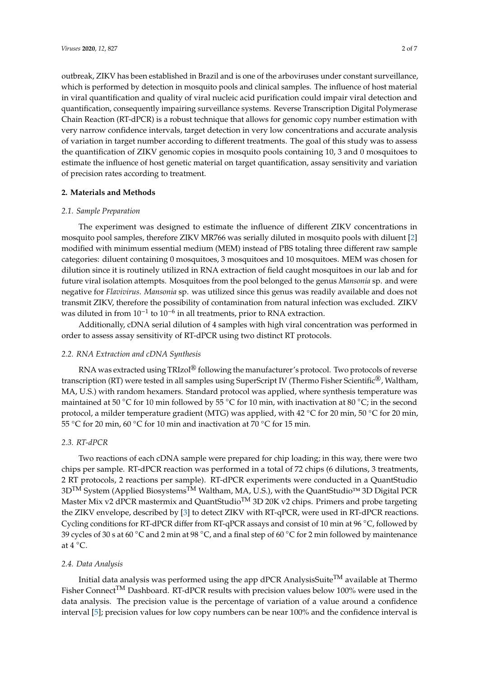outbreak, ZIKV has been established in Brazil and is one of the arboviruses under constant surveillance, which is performed by detection in mosquito pools and clinical samples. The influence of host material in viral quantification and quality of viral nucleic acid purification could impair viral detection and quantification, consequently impairing surveillance systems. Reverse Transcription Digital Polymerase Chain Reaction (RT-dPCR) is a robust technique that allows for genomic copy number estimation with very narrow confidence intervals, target detection in very low concentrations and accurate analysis of variation in target number according to different treatments. The goal of this study was to assess the quantification of ZIKV genomic copies in mosquito pools containing 10, 3 and 0 mosquitoes to estimate the influence of host genetic material on target quantification, assay sensitivity and variation of precision rates according to treatment.

#### **2. Materials and Methods**

#### *2.1. Sample Preparation*

The experiment was designed to estimate the influence of different ZIKV concentrations in mosquito pool samples, therefore ZIKV MR766 was serially diluted in mosquito pools with diluent [\[2\]](#page-5-1) modified with minimum essential medium (MEM) instead of PBS totaling three different raw sample categories: diluent containing 0 mosquitoes, 3 mosquitoes and 10 mosquitoes. MEM was chosen for dilution since it is routinely utilized in RNA extraction of field caught mosquitoes in our lab and for future viral isolation attempts. Mosquitoes from the pool belonged to the genus *Mansonia* sp. and were negative for *Flavivirus*. *Mansonia* sp. was utilized since this genus was readily available and does not transmit ZIKV, therefore the possibility of contamination from natural infection was excluded. ZIKV was diluted in from  $10^{-1}$  to  $10^{-6}$  in all treatments, prior to RNA extraction.

Additionally, cDNA serial dilution of 4 samples with high viral concentration was performed in order to assess assay sensitivity of RT-dPCR using two distinct RT protocols.

#### *2.2. RNA Extraction and cDNA Synthesis*

RNA was extracted using TRIzol® following the manufacturer's protocol. Two protocols of reverse transcription (RT) were tested in all samples using SuperScript IV (Thermo Fisher Scientific®, Waltham, MA, U.S.) with random hexamers. Standard protocol was applied, where synthesis temperature was maintained at 50 °C for 10 min followed by 55 °C for 10 min, with inactivation at 80 °C; in the second protocol, a milder temperature gradient (MTG) was applied, with 42 ◦C for 20 min, 50 ◦C for 20 min, 55 ◦C for 20 min, 60 ◦C for 10 min and inactivation at 70 ◦C for 15 min.

#### *2.3. RT-dPCR*

Two reactions of each cDNA sample were prepared for chip loading; in this way, there were two chips per sample. RT-dPCR reaction was performed in a total of 72 chips (6 dilutions, 3 treatments, 2 RT protocols, 2 reactions per sample). RT-dPCR experiments were conducted in a QuantStudio 3D<sup>TM</sup> System (Applied Biosystems<sup>™</sup> Waltham, MA, U.S.), with the QuantStudio<sup>™</sup> 3D Digital PCR Master Mix v2 dPCR mastermix and QuantStudio<sup>TM</sup> 3D 20K v2 chips. Primers and probe targeting the ZIKV envelope, described by [\[3\]](#page-5-2) to detect ZIKV with RT-qPCR, were used in RT-dPCR reactions. Cycling conditions for RT-dPCR differ from RT-qPCR assays and consist of 10 min at 96 ◦C, followed by 39 cycles of 30 s at 60 ◦C and 2 min at 98 ◦C, and a final step of 60 ◦C for 2 min followed by maintenance at  $4^{\circ}$ C.

#### *2.4. Data Analysis*

Initial data analysis was performed using the app dPCR AnalysisSuite<sup>TM</sup> available at Thermo Fisher Connect<sup>TM</sup> Dashboard. RT-dPCR results with precision values below 100% were used in the data analysis. The precision value is the percentage of variation of a value around a confidence interval [\[5\]](#page-6-0); precision values for low copy numbers can be near 100% and the confidence interval is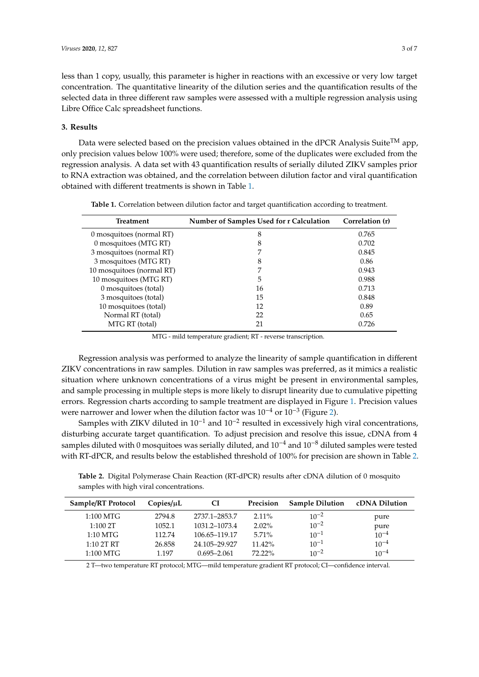less than 1 copy, usually, this parameter is higher in reactions with an excessive or very low target concentration. The quantitative linearity of the dilution series and the quantification results of the selected data in three different raw samples were assessed with a multiple regression analysis using Libre Office Calc spreadsheet functions.

#### **3. Results**

Data were selected based on the precision values obtained in the dPCR Analysis Suite<sup>TM</sup> app, only precision values below 100% were used; therefore, some of the duplicates were excluded from the regression analysis. A data set with 43 quantification results of serially diluted ZIKV samples prior to RNA extraction was obtained, and the correlation between dilution factor and viral quantification obtained with different treatments is shown in Table [1.](#page-2-0)

<span id="page-2-0"></span>

| <b>Treatment</b>          | Number of Samples Used for r Calculation | Correlation (r) |
|---------------------------|------------------------------------------|-----------------|
| 0 mosquitoes (normal RT)  | 8                                        | 0.765           |
| 0 mosquitoes (MTG RT)     | 8                                        | 0.702           |
| 3 mosquitoes (normal RT)  |                                          | 0.845           |
| 3 mosquitoes (MTG RT)     | 8                                        | 0.86            |
| 10 mosquitoes (normal RT) |                                          | 0.943           |
| 10 mosquitoes (MTG RT)    | 5                                        | 0.988           |
| 0 mosquitoes (total)      | 16                                       | 0.713           |
| 3 mosquitoes (total)      | 15                                       | 0.848           |
| 10 mosquitoes (total)     | 12                                       | 0.89            |
| Normal RT (total)         | 22                                       | 0.65            |
| MTG RT (total)            | 21                                       | 0.726           |

**Table 1.** Correlation between dilution factor and target quantification according to treatment.

MTG - mild temperature gradient; RT - reverse transcription.

Regression analysis was performed to analyze the linearity of sample quantification in different ZIKV concentrations in raw samples. Dilution in raw samples was preferred, as it mimics a realistic situation where unknown concentrations of a virus might be present in environmental samples, and sample processing in multiple steps is more likely to disrupt linearity due to cumulative pipetting errors. Regression charts according to sample treatment are displayed in Figure [1.](#page-3-0) Precision values were narrower and lower when the dilution factor was  $10^{-4}$  or  $10^{-3}$  (Figure [2\)](#page-3-1).

Samples with ZIKV diluted in 10−<sup>1</sup> and 10−<sup>2</sup> resulted in excessively high viral concentrations, disturbing accurate target quantification. To adjust precision and resolve this issue, cDNA from 4 samples diluted with 0 mosquitoes was serially diluted, and 10<sup>-4</sup> and 10<sup>-8</sup> diluted samples were tested with RT-dPCR, and results below the established threshold of 100% for precision are shown in Table [2.](#page-2-1)

<span id="page-2-1"></span>**Table 2.** Digital Polymerase Chain Reaction (RT-dPCR) results after cDNA dilution of 0 mosquito samples with high viral concentrations.

| Sample/RT Protocol | Copies/uL | СI              | Precision | <b>Sample Dilution</b> | cDNA Dilution |
|--------------------|-----------|-----------------|-----------|------------------------|---------------|
| 1:100 MTG          | 2794.8    | 2737.1-2853.7   | $2.11\%$  | $10^{-2}$              | pure          |
| 1:1002T            | 1052.1    | 1031.2–1073.4   | $2.02\%$  | $10^{-2}$              | pure          |
| $1:10$ MTG         | 112.74    | 106.65–119.17   | $5.71\%$  | $10^{-1}$              | $10^{-4}$     |
| 1:102T RT          | 26.858    | 24.105-29.927   | $11.42\%$ | $10^{-1}$              | $10^{-4}$     |
| 1:100 MTG          | 1.197     | $0.695 - 2.061$ | $72.22\%$ | $10^{-2}$              | $10^{-4}$     |

2 T—two temperature RT protocol; MTG—mild temperature gradient RT protocol; CI—confidence interval.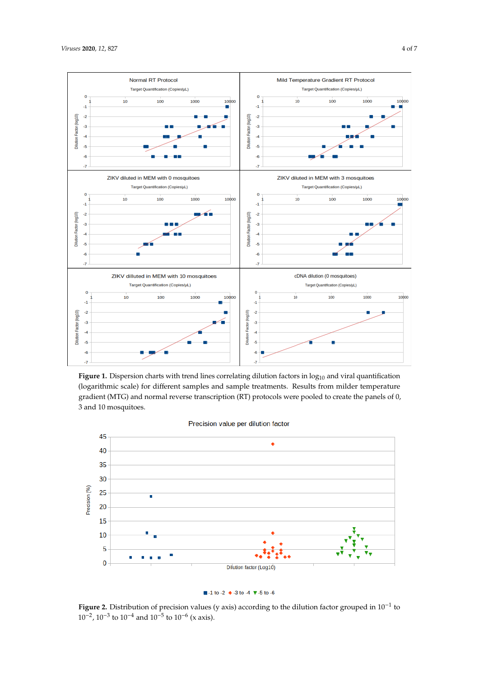<span id="page-3-0"></span>

**Figure 1.** Dispersion charts with trend lines correlating dilution factors in  $log_{10}$  and viral quantification (logarithmic scale) for different samples and sample treatments. Results from milder temperature (logarithmic scale) for different samples and sample treatments. Results from milder temperature (logarithmic scale) for different samples and sample treatments. Results from milder temperature<br>gradient (MTG) and normal reverse transcription (RT) protocols were pooled to create the panels of 0, 0, 3 and 10 mosquitoes. 3 and 10 mosquitoes.

<span id="page-3-1"></span>



 $\blacksquare$  -1 to -2  $\blacklozenge$  -3 to -4  $\blacktriangledown$  -5 to -6

 $10^{-2}$ , 10<sup>-3</sup> to 10<sup>-4</sup> and 10<sup>-5</sup> to 10<sup>-6</sup> (x axis). Figure 2. Distribution of precision values (y axis) according to the dilution factor grouped in  $10^{-1}$  to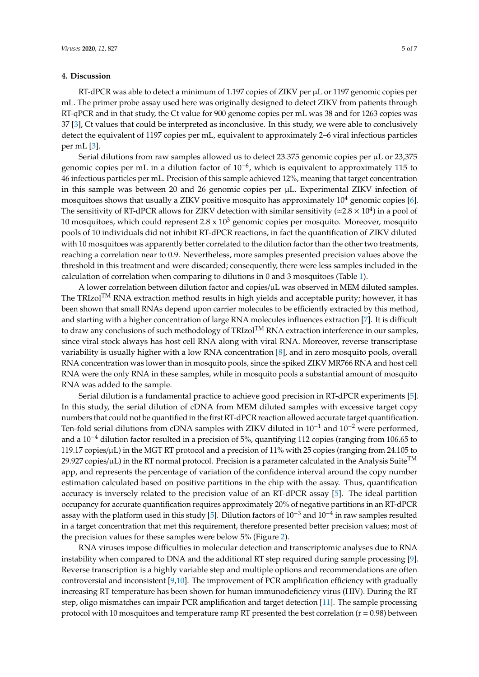#### **4. Discussion**

RT-dPCR was able to detect a minimum of 1.197 copies of ZIKV per  $\mu$ L or 1197 genomic copies per mL. The primer probe assay used here was originally designed to detect ZIKV from patients through RT-qPCR and in that study, the Ct value for 900 genome copies per mL was 38 and for 1263 copies was 37 [\[3\]](#page-5-2), Ct values that could be interpreted as inconclusive. In this study, we were able to conclusively detect the equivalent of 1197 copies per mL, equivalent to approximately 2–6 viral infectious particles per mL [\[3\]](#page-5-2).

Serial dilutions from raw samples allowed us to detect 23.375 genomic copies per µL or 23,375 genomic copies per mL in a dilution factor of 10<sup>-6</sup>, which is equivalent to approximately 115 to 46 infectious particles per mL. Precision of this sample achieved 12%, meaning that target concentration in this sample was between 20 and 26 genomic copies per µL. Experimental ZIKV infection of mosquitoes shows that usually a ZIKV positive mosquito has approximately  $10<sup>4</sup>$  genomic copies [\[6\]](#page-6-1). The sensitivity of RT-dPCR allows for ZIKV detection with similar sensitivity ( $\simeq$ 2.8  $\times$  10<sup>4</sup>) in a pool of 10 mosquitoes, which could represent  $2.8 \times 10^3$  genomic copies per mosquito. Moreover, mosquito pools of 10 individuals did not inhibit RT-dPCR reactions, in fact the quantification of ZIKV diluted with 10 mosquitoes was apparently better correlated to the dilution factor than the other two treatments, reaching a correlation near to 0.9. Nevertheless, more samples presented precision values above the threshold in this treatment and were discarded; consequently, there were less samples included in the calculation of correlation when comparing to dilutions in 0 and 3 mosquitoes (Table [1\)](#page-2-0).

A lower correlation between dilution factor and copies/ $\mu$ L was observed in MEM diluted samples. The TRIzol<sup>TM</sup> RNA extraction method results in high yields and acceptable purity; however, it has been shown that small RNAs depend upon carrier molecules to be efficiently extracted by this method, and starting with a higher concentration of large RNA molecules influences extraction [\[7\]](#page-6-2). It is difficult to draw any conclusions of such methodology of TRIzol<sup>TM</sup> RNA extraction interference in our samples, since viral stock always has host cell RNA along with viral RNA. Moreover, reverse transcriptase variability is usually higher with a low RNA concentration [\[8\]](#page-6-3), and in zero mosquito pools, overall RNA concentration was lower than in mosquito pools, since the spiked ZIKV MR766 RNA and host cell RNA were the only RNA in these samples, while in mosquito pools a substantial amount of mosquito RNA was added to the sample.

Serial dilution is a fundamental practice to achieve good precision in RT-dPCR experiments [\[5\]](#page-6-0). In this study, the serial dilution of cDNA from MEM diluted samples with excessive target copy numbers that could not be quantified in the first RT-dPCR reaction allowed accurate target quantification. Ten-fold serial dilutions from cDNA samples with ZIKV diluted in 10<sup>-1</sup> and 10<sup>-2</sup> were performed, and a 10−<sup>4</sup> dilution factor resulted in a precision of 5%, quantifying 112 copies (ranging from 106.65 to 119.17 copies/µL) in the MGT RT protocol and a precision of 11% with 25 copies (ranging from 24.105 to 29.927 copies/ $\mu$ L) in the RT normal protocol. Precision is a parameter calculated in the Analysis Suite<sup>TM</sup> app, and represents the percentage of variation of the confidence interval around the copy number estimation calculated based on positive partitions in the chip with the assay. Thus, quantification accuracy is inversely related to the precision value of an RT-dPCR assay [\[5\]](#page-6-0). The ideal partition occupancy for accurate quantification requires approximately 20% of negative partitions in an RT-dPCR assay with the platform used in this study [\[5\]](#page-6-0). Dilution factors of 10−<sup>3</sup> and 10−<sup>4</sup> in raw samples resulted in a target concentration that met this requirement, therefore presented better precision values; most of the precision values for these samples were below 5% (Figure [2\)](#page-3-1).

RNA viruses impose difficulties in molecular detection and transcriptomic analyses due to RNA instability when compared to DNA and the additional RT step required during sample processing [\[9\]](#page-6-4). Reverse transcription is a highly variable step and multiple options and recommendations are often controversial and inconsistent [\[9](#page-6-4)[,10\]](#page-6-5). The improvement of PCR amplification efficiency with gradually increasing RT temperature has been shown for human immunodeficiency virus (HIV). During the RT step, oligo mismatches can impair PCR amplification and target detection [\[11\]](#page-6-6). The sample processing protocol with 10 mosquitoes and temperature ramp RT presented the best correlation ( $r = 0.98$ ) between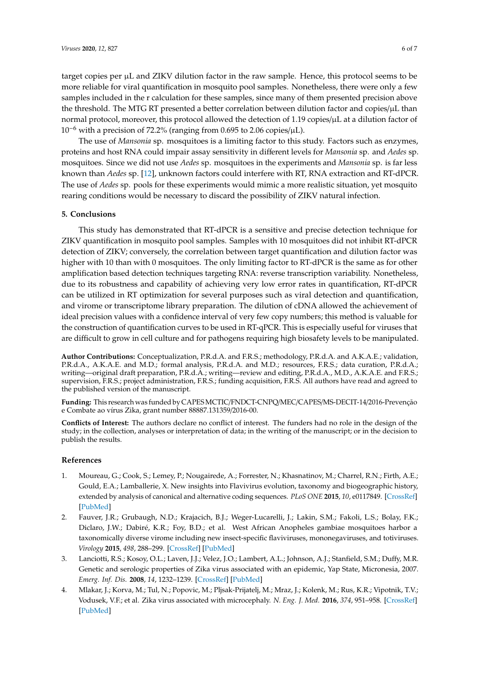target copies per µL and ZIKV dilution factor in the raw sample. Hence, this protocol seems to be more reliable for viral quantification in mosquito pool samples. Nonetheless, there were only a few samples included in the r calculation for these samples, since many of them presented precision above the threshold. The MTG RT presented a better correlation between dilution factor and copies/µL than normal protocol, moreover, this protocol allowed the detection of 1.19 copies/µL at a dilution factor of 10−<sup>6</sup> with a precision of 72.2% (ranging from 0.695 to 2.06 copies/µL).

The use of *Mansonia* sp. mosquitoes is a limiting factor to this study. Factors such as enzymes, proteins and host RNA could impair assay sensitivity in different levels for *Mansonia* sp. and *Aedes* sp. mosquitoes. Since we did not use *Aedes* sp. mosquitoes in the experiments and *Mansonia* sp. is far less known than *Aedes* sp. [\[12\]](#page-6-7), unknown factors could interfere with RT, RNA extraction and RT-dPCR. The use of *Aedes* sp. pools for these experiments would mimic a more realistic situation, yet mosquito rearing conditions would be necessary to discard the possibility of ZIKV natural infection.

#### **5. Conclusions**

This study has demonstrated that RT-dPCR is a sensitive and precise detection technique for ZIKV quantification in mosquito pool samples. Samples with 10 mosquitoes did not inhibit RT-dPCR detection of ZIKV; conversely, the correlation between target quantification and dilution factor was higher with 10 than with 0 mosquitoes. The only limiting factor to RT-dPCR is the same as for other amplification based detection techniques targeting RNA: reverse transcription variability. Nonetheless, due to its robustness and capability of achieving very low error rates in quantification, RT-dPCR can be utilized in RT optimization for several purposes such as viral detection and quantification, and virome or transcriptome library preparation. The dilution of cDNA allowed the achievement of ideal precision values with a confidence interval of very few copy numbers; this method is valuable for the construction of quantification curves to be used in RT-qPCR. This is especially useful for viruses that are difficult to grow in cell culture and for pathogens requiring high biosafety levels to be manipulated.

**Author Contributions:** Conceptualization, P.R.d.A. and F.R.S.; methodology, P.R.d.A. and A.K.A.E.; validation, P.R.d.A., A.K.A.E. and M.D.; formal analysis, P.R.d.A. and M.D.; resources, F.R.S.; data curation, P.R.d.A.; writing—original draft preparation, P.R.d.A.; writing—review and editing, P.R.d.A., M.D., A.K.A.E. and F.R.S.; supervision, F.R.S.; project administration, F.R.S.; funding acquisition, F.R.S. All authors have read and agreed to the published version of the manuscript.

**Funding:** This research was funded by CAPESMCTIC/FNDCT-CNPQ/MEC/CAPES/MS-DECIT-14/2016-Prevenção e Combate ao vírus Zika, grant number 88887.131359/2016-00.

**Conflicts of Interest:** The authors declare no conflict of interest. The funders had no role in the design of the study; in the collection, analyses or interpretation of data; in the writing of the manuscript; or in the decision to publish the results.

#### **References**

- <span id="page-5-0"></span>1. Moureau, G.; Cook, S.; Lemey, P.; Nougairede, A.; Forrester, N.; Khasnatinov, M.; Charrel, R.N.; Firth, A.E.; Gould, E.A.; Lamballerie, X. New insights into Flavivirus evolution, taxonomy and biogeographic history, extended by analysis of canonical and alternative coding sequences. *PLoS ONE* **2015**, *10*, e0117849. [\[CrossRef\]](http://dx.doi.org/10.1371/journal.pone.0117849) [\[PubMed\]](http://www.ncbi.nlm.nih.gov/pubmed/25719412)
- <span id="page-5-1"></span>2. Fauver, J.R.; Grubaugh, N.D.; Krajacich, B.J.; Weger-Lucarelli, J.; Lakin, S.M.; Fakoli, L.S.; Bolay, F.K.; Diclaro, J.W.; Dabiré, K.R.; Foy, B.D.; et al. West African Anopheles gambiae mosquitoes harbor a taxonomically diverse virome including new insect-specific flaviviruses, mononegaviruses, and totiviruses. *Virology* **2015**, *498*, 288–299. [\[CrossRef\]](http://dx.doi.org/10.1016/j.virol.2016.07.031) [\[PubMed\]](http://www.ncbi.nlm.nih.gov/pubmed/27639161)
- <span id="page-5-2"></span>3. Lanciotti, R.S.; Kosoy, O.L.; Laven, J.J.; Velez, J.O.; Lambert, A.L.; Johnson, A.J.; Stanfield, S.M.; Duffy, M.R. Genetic and serologic properties of Zika virus associated with an epidemic, Yap State, Micronesia, 2007. *Emerg. Inf. Dis.* **2008**, *14*, 1232–1239. [\[CrossRef\]](http://dx.doi.org/10.3201/eid1408.080287) [\[PubMed\]](http://www.ncbi.nlm.nih.gov/pubmed/18680646)
- <span id="page-5-3"></span>4. Mlakar, J.; Korva, M.; Tul, N.; Popovic, M.; Pljsak-Prijatelj, M.; Mraz, J.; Kolenk, M.; Rus, K.R.; Vipotnik, T.V.; Vodusek, V.F.; et al. Zika virus associated with microcephaly. *N. Eng. J. Med.* **2016**, *374*, 951–958. [\[CrossRef\]](http://dx.doi.org/10.1056/NEJMoa1600651) [\[PubMed\]](http://www.ncbi.nlm.nih.gov/pubmed/26862926)